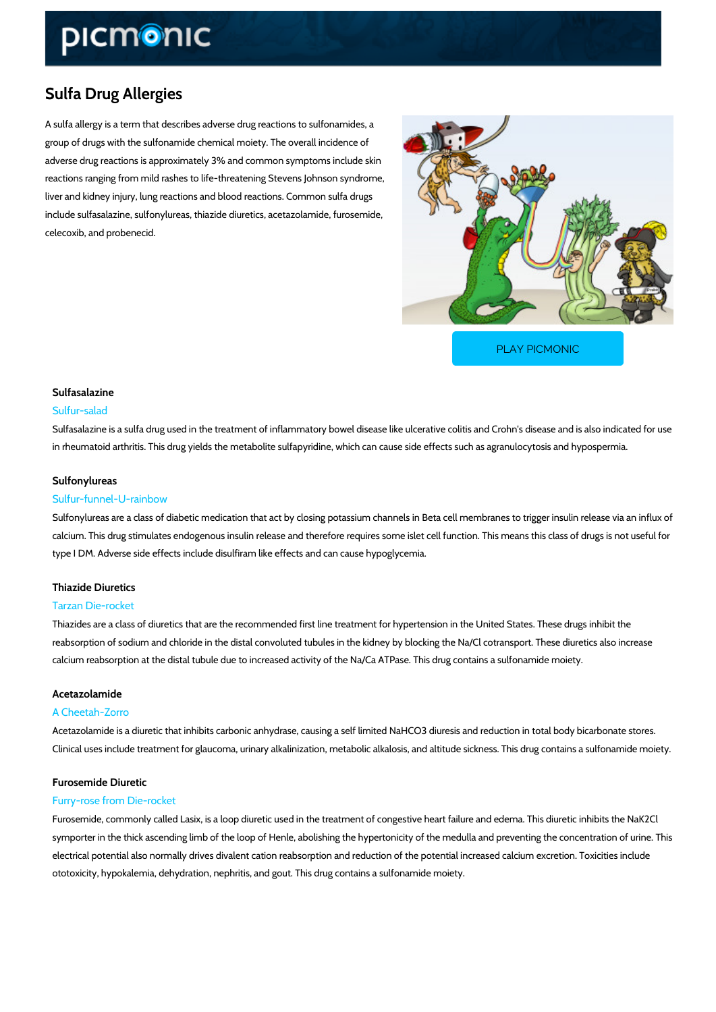## Sulfa Drug Allergies

A sulfa allergy is a term that describes adverse drug reactions to sulfonamides, a group of drugs with the sulfonamide chemical moiety. The overall incidence of adverse drug reactions is approximately 3% and common symptoms include skin reactions ranging from mild rashes to life-threatening Stevens Johnson syndrome, liver and kidney injury, lung reactions and blood reactions. Common sulfa drugs include sulfasalazine, sulfonylureas, thiazide diuretics, acetazolamide, furosemide, celecoxib, and probenecid.

[PLAY PICMONIC](https://www.picmonic.com/learn/sulfa-drug-allergies_431?utm_source=downloadable_content&utm_medium=distributedcontent&utm_campaign=pathways_pdf&utm_content=Sulfa Drug Allergies&utm_ad_group=leads&utm_market=all)

## Sulfasalazine

#### Sulfur-salad

Sulfasalazine is a sulfa drug used in the treatment of inflammatory bowel disease like ulcerat in rheumatoid arthritis. This drug yields the metabolite sulfapyridine, which can cause side ef

#### Sulfonylureas

#### Sulfur-funnel-U-rainbow

Sulfonylureas are a class of diabetic medication that act by closing potassium channels in Be calcium. This drug stimulates endogenous insulin release and therefore requires some islet ce type I DM. Adverse side effects include disulfiram like effects and can cause hypoglycemia.

### Thiazide Diuretics

## Tarzan Die-rocket

Thiazides are a class of diuretics that are the recommended first line treatment for hypertens reabsorption of sodium and chloride in the distal convoluted tubules in the kidney by blocking calcium reabsorption at the distal tubule due to increased activity of the Na/Ca ATPase. This

#### Acetazolamide

#### A Cheetah-Zorro

Acetazolamide is a diuretic that inhibits carbonic anhydrase, causing a self limited NaHCO3 d Clinical uses include treatment for glaucoma, urinary alkalinization, metabolic alkalosis, and

# Furosemide Diuretic

## Furry-rose from Die-rocket

Furosemide, commonly called Lasix, is a loop diuretic used in the treatment of congestive hea symporter in the thick ascending limb of the loop of Henle, abolishing the hypertonicity of the electrical potential also normally drives divalent cation reabsorption and reduction of the potential ototoxicity, hypokalemia, dehydration, nephritis, and gout. This drug contains a sulfonamide r